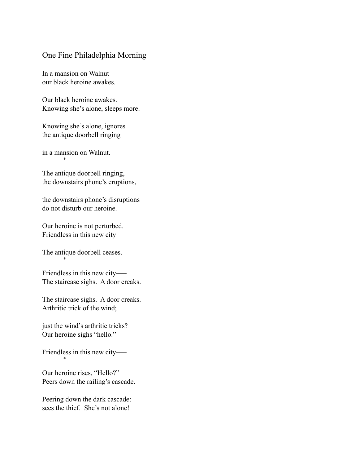### One Fine Philadelphia Morning

In a mansion on Walnut our black heroine awakes.

Our black heroine awakes. Knowing she's alone, sleeps more.

Knowing she's alone, ignores the antique doorbell ringing

in a mansion on Walnut. \*

The antique doorbell ringing, the downstairs phone's eruptions,

the downstairs phone's disruptions do not disturb our heroine.

Our heroine is not perturbed. Friendless in this new city—–

The antique doorbell ceases.

\*

Friendless in this new city—– The staircase sighs. A door creaks.

The staircase sighs. A door creaks. Arthritic trick of the wind;

just the wind's arthritic tricks? Our heroine sighs "hello."

Friendless in this new city—– \*

Our heroine rises, "Hello?" Peers down the railing's cascade.

Peering down the dark cascade: sees the thief. She's not alone!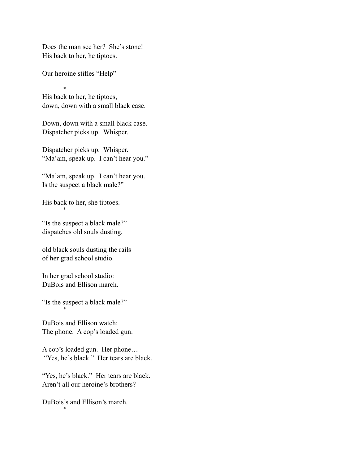Does the man see her? She's stone! His back to her, he tiptoes.

Our heroine stifles "Help"

 \* His back to her, he tiptoes, down, down with a small black case.

Down, down with a small black case. Dispatcher picks up. Whisper.

Dispatcher picks up. Whisper. "Ma'am, speak up. I can't hear you."

"Ma'am, speak up. I can't hear you. Is the suspect a black male?"

His back to her, she tiptoes. \*

"Is the suspect a black male?" dispatches old souls dusting,

old black souls dusting the rails––– of her grad school studio.

In her grad school studio: DuBois and Ellison march.

"Is the suspect a black male?"

\*

DuBois and Ellison watch: The phone. A cop's loaded gun.

A cop's loaded gun. Her phone… "Yes, he's black." Her tears are black.

"Yes, he's black." Her tears are black. Aren't all our heroine's brothers?

DuBois's and Ellison's march. \*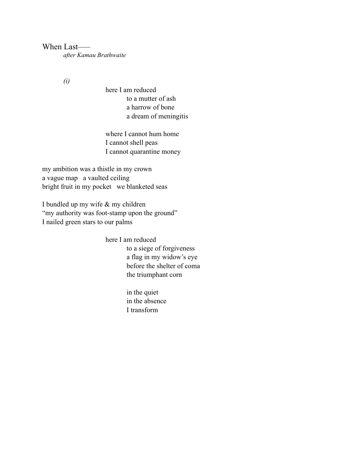When Last *after Kamau Brathwaite* 

*(i)* 

here I am reduced to a mutter of ash a harrow of bone a dream of meningitis

where I cannot hum home I cannot shell peas I cannot quarantine money

my ambition was a thistle in my crown a vague map a vaulted ceiling bright fruit in my pocket we blanketed seas

I bundled up my wife & my children "my authority was foot-stamp upon the ground" I nailed green stars to our palms

here I am reduced

 to a siege of forgiveness a flag in my widow's eye before the shelter of coma the triumphant corn

 in the quiet in the absence I transform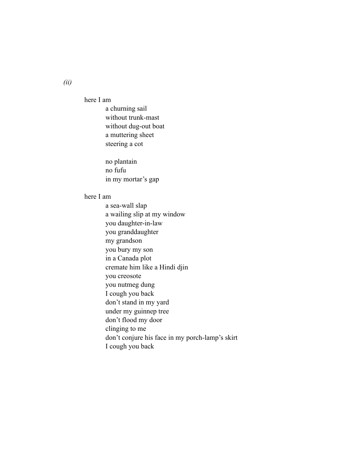here I am

 a churning sail without trunk-mast without dug-out boat a muttering sheet steering a cot

no plantain no fufu in my mortar's gap

#### here I am

 a sea-wall slap a wailing slip at my window you daughter-in-law you granddaughter my grandson you bury my son in a Canada plot cremate him like a Hindi djin you creosote you nutmeg dung I cough you back don't stand in my yard under my guinnep tree don't flood my door clinging to me don't conjure his face in my porch-lamp's skirt I cough you back

*(ii)*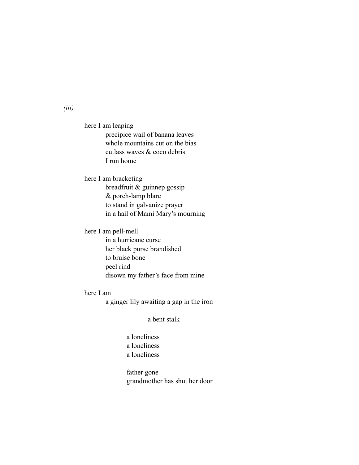here I am leaping precipice wail of banana leaves whole mountains cut on the bias cutlass waves & coco debris I run home

here I am bracketing breadfruit & guinnep gossip & porch-lamp blare to stand in galvanize prayer in a hail of Mami Mary's mourning

here I am pell-mell

 in a hurricane curse her black purse brandished to bruise bone peel rind disown my father's face from mine

here I am

a ginger lily awaiting a gap in the iron

a bent stalk

 a loneliness a loneliness a loneliness

 father gone grandmother has shut her door

*(iii)*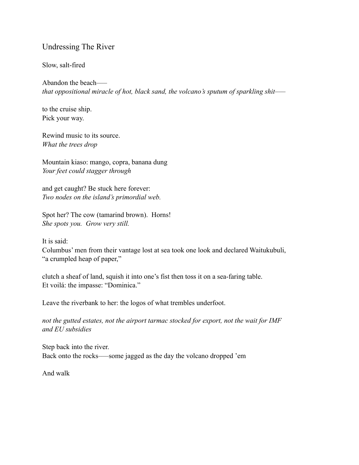# Undressing The River

#### Slow, salt-fired

Abandon the beach—– *that oppositional miracle of hot, black sand, the volcano's sputum of sparkling shit–––* 

to the cruise ship. Pick your way.

Rewind music to its source. *What the trees drop* 

Mountain kiaso: mango, copra, banana dung *Your feet could stagger through* 

and get caught? Be stuck here forever: *Two nodes on the island's primordial web.* 

Spot her? The cow (tamarind brown). Horns! *She spots you. Grow very still.* 

It is said:

Columbus' men from their vantage lost at sea took one look and declared Waitukubuli, "a crumpled heap of paper,"

clutch a sheaf of land, squish it into one's fist then toss it on a sea-faring table. Et voilá: the impasse: "Dominica."

Leave the riverbank to her: the logos of what trembles underfoot.

*not the gutted estates, not the airport tarmac stocked for export, not the wait for IMF and EU subsidies* 

Step back into the river. Back onto the rocks–––some jagged as the day the volcano dropped 'em

And walk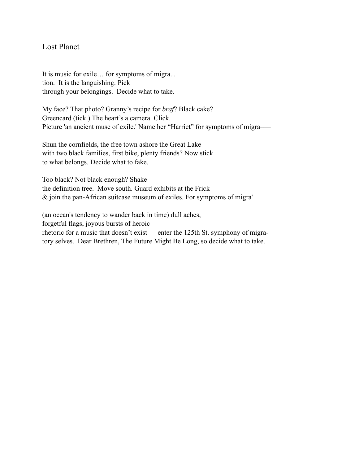## Lost Planet

It is music for exile… for symptoms of migra... tion. It is the languishing. Pick through your belongings. Decide what to take.

My face? That photo? Granny's recipe for *braf*? Black cake? Greencard (tick.) The heart's a camera. Click. Picture 'an ancient muse of exile.' Name her "Harriet" for symptoms of migra–––

Shun the cornfields, the free town ashore the Great Lake with two black families, first bike, plenty friends? Now stick to what belongs. Decide what to fake.

Too black? Not black enough? Shake the definition tree. Move south. Guard exhibits at the Frick & join the pan-African suitcase museum of exiles. For symptoms of migra'

(an ocean's tendency to wander back in time) dull aches, forgetful flags, joyous bursts of heroic rhetoric for a music that doesn't exist–––enter the 125th St. symphony of migratory selves. Dear Brethren, The Future Might Be Long, so decide what to take.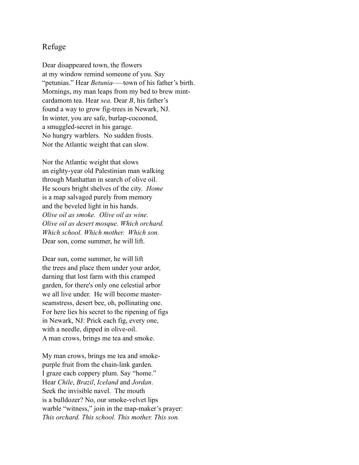### Refuge

Dear disappeared town, the flowers at my window remind someone of you. Say "petunias." Hear *Betunia*—–town of his father's birth. Mornings, my man leaps from my bed to brew mintcardamom tea. Hear *sea.* Dear *B*, his father's found a way to grow fig-trees in Newark, NJ. In winter, you are safe, burlap-cocooned, a smuggled-secret in his garage. No hungry warblers. No sudden frosts. Nor the Atlantic weight that can slow.

Nor the Atlantic weight that slows an eighty-year old Palestinian man walking through Manhattan in search of olive oil. He scours bright shelves of the city. *Home* is a map salvaged purely from memory and the beveled light in his hands. *Olive oil as smoke. Olive oil as wine. Olive oil as desert mosque. Which orchard. Which school. Which mother. Which son.*  Dear son, come summer, he will lift.

Dear sun, come summer, he will lift the trees and place them under your ardor, darning that lost farm with this cramped garden, for there's only one celestial arbor we all live under. He will become masterseamstress, desert bee, oh, pollinating one. For here lies his secret to the ripening of figs in Newark, NJ: Prick each fig, every one, with a needle, dipped in olive-oil. A man crows, brings me tea and smoke.

My man crows, brings me tea and smokepurple fruit from the chain-link garden. I graze each coppery plum. Say "home." Hear *Chile*, *Brazil*, *Iceland* and *Jordan*. Seek the invisible navel. The mouth is a bulldozer? No, our smoke-velvet lips warble "witness," join in the map-maker's prayer: *This orchard. This school. This mother. This son.*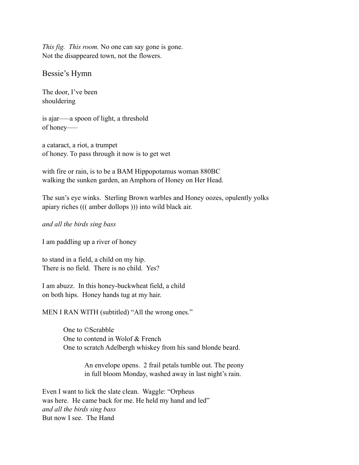*This fig. This room.* No one can say gone is gone. Not the disappeared town, not the flowers.

Bessie's Hymn

The door, I've been shouldering

is ajar–––a spoon of light, a threshold of honey–––

a cataract, a riot, a trumpet of honey. To pass through it now is to get wet

with fire or rain, is to be a BAM Hippopotamus woman 880BC walking the sunken garden, an Amphora of Honey on Her Head.

The sun's eye winks. Sterling Brown warbles and Honey oozes, opulently yolks apiary riches ((( amber dollops ))) into wild black air.

*and all the birds sing bass* 

I am paddling up a river of honey

to stand in a field, a child on my hip. There is no field. There is no child. Yes?

I am abuzz. In this honey-buckwheat field, a child on both hips. Honey hands tug at my hair.

MEN I RAN WITH (subtitled) "All the wrong ones."

One to ©Scrabble One to contend in Wolof & French One to scratch Adelbergh whiskey from his sand blonde beard.

> An envelope opens. 2 frail petals tumble out. The peony in full bloom Monday, washed away in last night's rain.

Even I want to lick the slate clean. Waggle: "Orpheus was here. He came back for me. He held my hand and led" *and all the birds sing bass*  But now I see. The Hand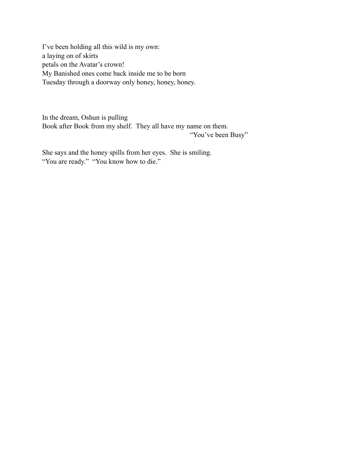I've been holding all this wild is my own: a laying on of skirts petals on the Avatar's crown! My Banished ones come back inside me to be born Tuesday through a doorway only honey, honey, honey.

In the dream, Oshun is pulling Book after Book from my shelf. They all have my name on them. "You've been Busy"

She says and the honey spills from her eyes. She is smiling. "You are ready." "You know how to die."